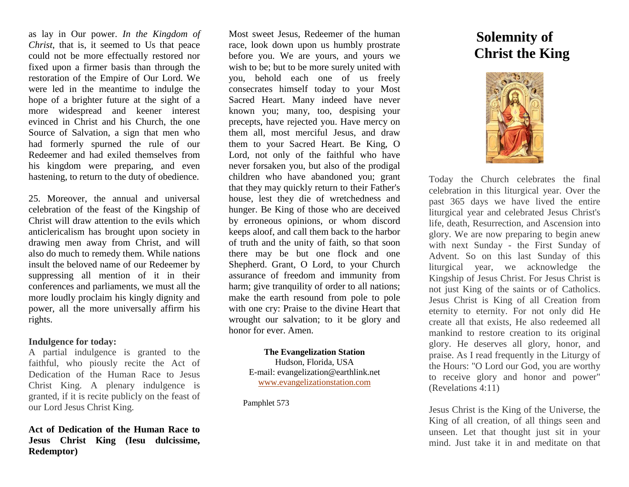as lay in Our power. *In the Kingdom of Christ*, that is, it seemed to Us that peace could not be more effectually restored nor fixed upon a firmer basis than through the restoration of the Empire of Our Lord. We were led in the meantime to indulge the hope of a brighter future at the sight of a more widespread and keener interest evinced in Christ and his Church, the one Source of Salvation, a sign that men who had formerly spurned the rule of our Redeemer and had exiled themselves from his kingdom were preparing, and even hastening, to return to the duty of obedience.

25. Moreover, the annual and universal celebration of the feast of the Kingship of Christ will draw attention to the evils which anticlericalism has brought upon society in drawing men away from Christ, and will also do much to remedy them. While nations insult the beloved name of our Redeemer by suppressing all mention of it in their conferences and parliaments, we must all the more loudly proclaim his kingly dignity and power, all the more universally affirm his rights.

## **Indulgence for today:**

A partial indulgence is granted to the faithful, who piously recite the Act of Dedication of the Human Race to Jesus Christ King. A plenary indulgence is granted, if it is recite publicly on the feast of our Lord Jesus Christ King.

## **Act of Dedication of the Human Race to Jesus Christ King (Iesu dulcissime, Redemptor)**

Most sweet Jesus, Redeemer of the human race, look down upon us humbly prostrate before you. We are yours, and yours we wish to be; but to be more surely united with you, behold each one of us freely consecrates himself today to your Most Sacred Heart. Many indeed have never known you; many, too, despising your precepts, have rejected you. Have mercy on them all, most merciful Jesus, and draw them to your Sacred Heart. Be King, O Lord, not only of the faithful who have never forsaken you, but also of the prodigal children who have abandoned you; grant that they may quickly return to their Father's house, lest they die of wretchedness and hunger. Be King of those who are deceived by erroneous opinions, or whom discord keeps aloof, and call them back to the harbor of truth and the unity of faith, so that soon there may be but one flock and one Shepherd. Grant, O Lord, to your Church assurance of freedom and immunity from harm; give tranquility of order to all nations; make the earth resound from pole to pole with one cry: Praise to the divine Heart that wrought our salvation; to it be glory and honor for ever. Amen.

## **The Evangelization Station**

Hudson, Florida, USA E-mail: evangelization@earthlink.net [www.evangelizationstation.com](http://www.pjpiisoe.org/)

Pamphlet 573

## **Solemnity of Christ the King**



Today the Church celebrates the final celebration in this liturgical year. Over the past 365 days we have lived the entire liturgical year and celebrated Jesus Christ's life, death, Resurrection, and Ascension into glory. We are now preparing to begin anew with next Sunday - the First Sunday of Advent. So on this last Sunday of this liturgical year, we acknowledge the Kingship of Jesus Christ. For Jesus Christ is not just King of the saints or of Catholics. Jesus Christ is King of all Creation from eternity to eternity. For not only did He create all that exists, He also redeemed all mankind to restore creation to its original glory. He deserves all glory, honor, and praise. As I read frequently in the Liturgy of the Hours: "O Lord our God, you are worthy to receive glory and honor and power" (Revelations 4:11)

Jesus Christ is the King of the Universe, the King of all creation, of all things seen and unseen. Let that thought just sit in your mind. Just take it in and meditate on that